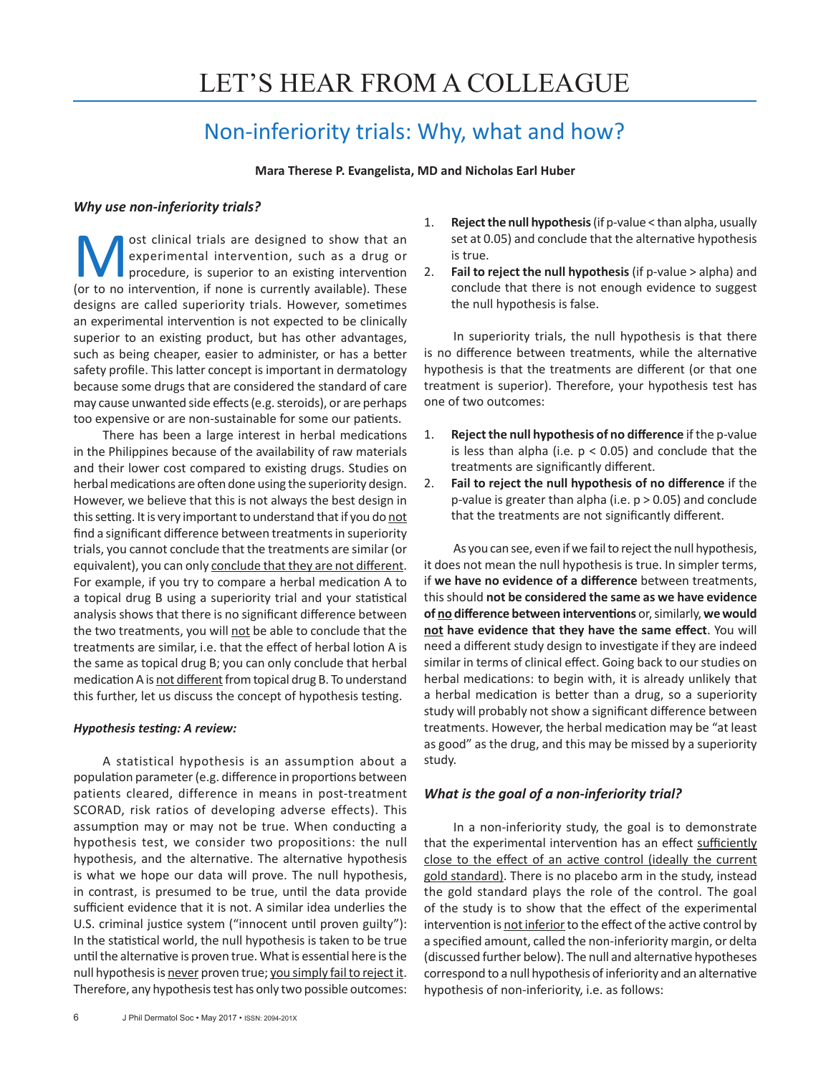# Non-inferiority trials: Why, what and how?

**Mara Therese P. Evangelista, MD and Nicholas Earl Huber** 

# *Why use non-inferiority trials?*

ost clinical trials are designed to show that an experimental intervention, such as a drug or procedure, is superior to an existing intervention (or to no intervention, if none is currently available). These designs are called superiority trials. However, sometimes an experimental intervention is not expected to be clinically superior to an existing product, but has other advantages, such as being cheaper, easier to administer, or has a better safety profile. This latter concept is important in dermatology because some drugs that are considered the standard of care may cause unwanted side effects (e.g. steroids), or are perhaps too expensive or are non-sustainable for some our patients.

There has been a large interest in herbal medications in the Philippines because of the availability of raw materials and their lower cost compared to existing drugs. Studies on herbal medications are often done using the superiority design. However, we believe that this is not always the best design in this setting. It is very important to understand that if you do not find a significant difference between treatments in superiority trials, you cannot conclude that the treatments are similar (or equivalent), you can only conclude that they are not different. For example, if you try to compare a herbal medication A to a topical drug B using a superiority trial and your statistical analysis shows that there is no significant difference between the two treatments, you will not be able to conclude that the treatments are similar, i.e. that the effect of herbal lotion A is the same as topical drug B; you can only conclude that herbal medication A is not different from topical drug B. To understand this further, let us discuss the concept of hypothesis testing.

## *Hypothesis testing: A review:*

A statistical hypothesis is an assumption about a population parameter (e.g. difference in proportions between patients cleared, difference in means in post-treatment SCORAD, risk ratios of developing adverse effects). This assumption may or may not be true. When conducting a hypothesis test, we consider two propositions: the null hypothesis, and the alternative. The alternative hypothesis is what we hope our data will prove. The null hypothesis, in contrast, is presumed to be true, until the data provide sufficient evidence that it is not. A similar idea underlies the U.S. criminal justice system ("innocent until proven guilty"): In the statistical world, the null hypothesis is taken to be true until the alternative is proven true. What is essential here is the null hypothesis is never proven true; you simply fail to reject it. Therefore, any hypothesis test has only two possible outcomes:

- 1. **Reject the null hypothesis** (if p-value < than alpha, usually set at 0.05) and conclude that the alternative hypothesis is true.
- 2. **Fail to reject the null hypothesis** (if p-value > alpha) and conclude that there is not enough evidence to suggest the null hypothesis is false.

In superiority trials, the null hypothesis is that there is no difference between treatments, while the alternative hypothesis is that the treatments are different (or that one treatment is superior). Therefore, your hypothesis test has one of two outcomes:

- 1. **Reject the null hypothesis of no difference** if the p-value is less than alpha (i.e.  $p < 0.05$ ) and conclude that the treatments are significantly different.
- 2. **Fail to reject the null hypothesis of no difference** if the p-value is greater than alpha (i.e. p > 0.05) and conclude that the treatments are not significantly different.

As you can see, even if we fail to reject the null hypothesis, it does not mean the null hypothesis is true. In simpler terms, if **we have no evidence of a difference** between treatments, this should **not be considered the same as we have evidence of no difference between interventions** or, similarly, **we would not have evidence that they have the same effect**. You will need a different study design to investigate if they are indeed similar in terms of clinical effect. Going back to our studies on herbal medications: to begin with, it is already unlikely that a herbal medication is better than a drug, so a superiority study will probably not show a significant difference between treatments. However, the herbal medication may be "at least as good" as the drug, and this may be missed by a superiority study.

# *What is the goal of a non-inferiority trial?*

In a non-inferiority study, the goal is to demonstrate that the experimental intervention has an effect sufficiently close to the effect of an active control (ideally the current gold standard). There is no placebo arm in the study, instead the gold standard plays the role of the control. The goal of the study is to show that the effect of the experimental intervention is not inferior to the effect of the active control by a specified amount, called the non-inferiority margin, or delta (discussed further below). The null and alternative hypotheses correspond to a null hypothesis of inferiority and an alternative hypothesis of non-inferiority, i.e. as follows: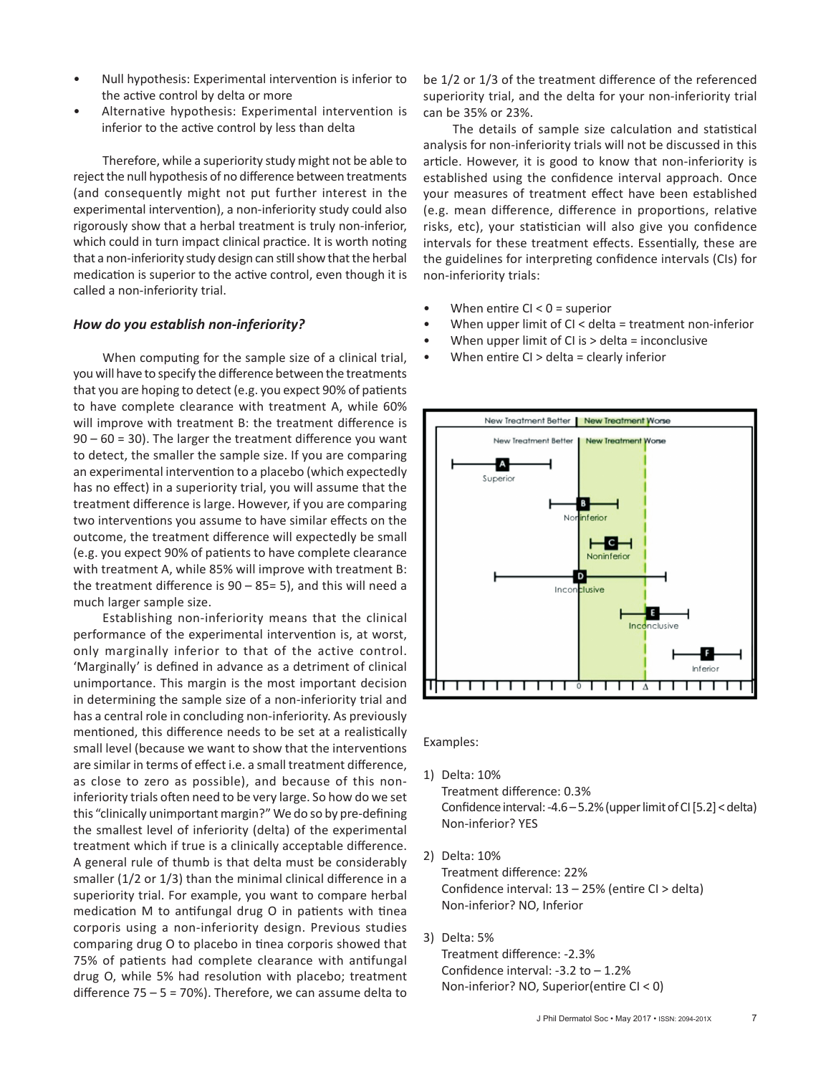- Null hypothesis: Experimental intervention is inferior to the active control by delta or more
- Alternative hypothesis: Experimental intervention is inferior to the active control by less than delta

Therefore, while a superiority study might not be able to reject the null hypothesis of no difference between treatments (and consequently might not put further interest in the experimental intervention), a non-inferiority study could also rigorously show that a herbal treatment is truly non-inferior, which could in turn impact clinical practice. It is worth noting that a non-inferiority study design can still show that the herbal medication is superior to the active control, even though it is called a non-inferiority trial.

### *How do you establish non-inferiority?*

When computing for the sample size of a clinical trial, you will have to specify the difference between the treatments that you are hoping to detect (e.g. you expect 90% of patients to have complete clearance with treatment A, while 60% will improve with treatment B: the treatment difference is  $90 - 60 = 30$ ). The larger the treatment difference you want to detect, the smaller the sample size. If you are comparing an experimental intervention to a placebo (which expectedly has no effect) in a superiority trial, you will assume that the treatment difference is large. However, if you are comparing two interventions you assume to have similar effects on the outcome, the treatment difference will expectedly be small (e.g. you expect 90% of patients to have complete clearance with treatment A, while 85% will improve with treatment B: the treatment difference is  $90 - 85 = 5$ ), and this will need a much larger sample size.

Establishing non-inferiority means that the clinical performance of the experimental intervention is, at worst, only marginally inferior to that of the active control. 'Marginally' is defined in advance as a detriment of clinical unimportance. This margin is the most important decision in determining the sample size of a non-inferiority trial and has a central role in concluding non-inferiority. As previously mentioned, this difference needs to be set at a realistically small level (because we want to show that the interventions are similar in terms of effect i.e. a small treatment difference, as close to zero as possible), and because of this noninferiority trials often need to be very large. So how do we set this "clinically unimportant margin?" We do so by pre-defining the smallest level of inferiority (delta) of the experimental treatment which if true is a clinically acceptable difference. A general rule of thumb is that delta must be considerably smaller (1/2 or 1/3) than the minimal clinical difference in a superiority trial. For example, you want to compare herbal medication M to antifungal drug O in patients with tinea corporis using a non-inferiority design. Previous studies comparing drug O to placebo in tinea corporis showed that 75% of patients had complete clearance with antifungal drug O, while 5% had resolution with placebo; treatment difference  $75 - 5 = 70\%$ ). Therefore, we can assume delta to

be 1/2 or 1/3 of the treatment difference of the referenced superiority trial, and the delta for your non-inferiority trial can be 35% or 23%.

The details of sample size calculation and statistical analysis for non-inferiority trials will not be discussed in this article. However, it is good to know that non-inferiority is established using the confidence interval approach. Once your measures of treatment effect have been established (e.g. mean difference, difference in proportions, relative risks, etc), your statistician will also give you confidence intervals for these treatment effects. Essentially, these are the guidelines for interpreting confidence intervals (CIs) for non-inferiority trials:

- When entire  $Cl < 0$  = superior
- When upper limit of CI < delta = treatment non-inferior
- When upper limit of CI is  $>$  delta = inconclusive
- When entire CI > delta = clearly inferior



Examples:

1) Delta: 10%

Treatment difference: 0.3% Confidence interval: -4.6 – 5.2% (upper limit of CI [5.2] < delta) Non-inferior? YES

2) Delta: 10%

Treatment difference: 22% Confidence interval: 13 – 25% (entire CI > delta) Non-inferior? NO, Inferior

3) Delta: 5%

Treatment difference: -2.3% Confidence interval: -3.2 to – 1.2% Non-inferior? NO, Superior(entire CI < 0)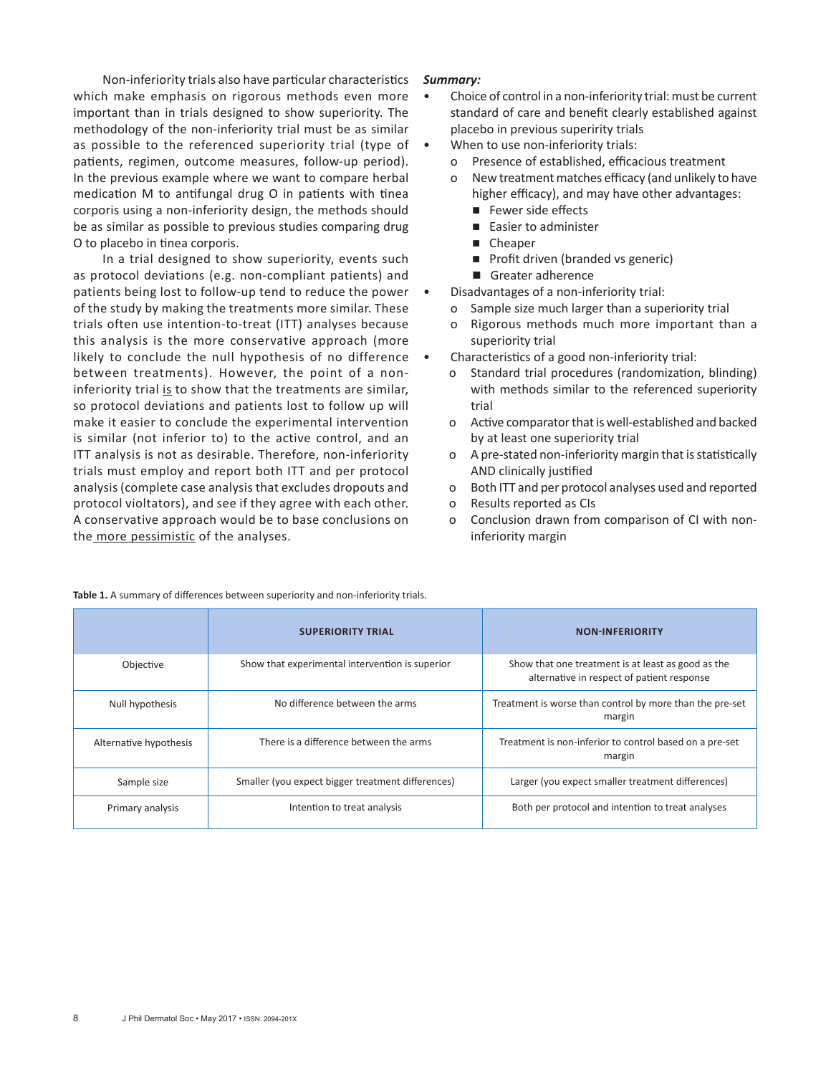Non-inferiority trials also have particular characteristics which make emphasis on rigorous methods even more important than in trials designed to show superiority. The methodology of the non-inferiority trial must be as similar as possible to the referenced superiority trial (type of patients, regimen, outcome measures, follow-up period). In the previous example where we want to compare herbal medication M to antifungal drug O in patients with tinea corporis using a non-inferiority design, the methods should be as similar as possible to previous studies comparing drug O to placebo in tinea corporis.

In a trial designed to show superiority, events such as protocol deviations (e.g. non-compliant patients) and patients being lost to follow-up tend to reduce the power of the study by making the treatments more similar. These trials often use intention-to-treat (ITT) analyses because this analysis is the more conservative approach (more likely to conclude the null hypothesis of no difference between treatments). However, the point of a noninferiority trial is to show that the treatments are similar, so protocol deviations and patients lost to follow up will make it easier to conclude the experimental intervention is similar (not inferior to) to the active control, and an ITT analysis is not as desirable. Therefore, non-inferiority trials must employ and report both ITT and per protocol analysis (complete case analysis that excludes dropouts and protocol violtators), and see if they agree with each other. A conservative approach would be to base conclusions on the more pessimistic of the analyses.

# *Summary:*

- Choice of control in a non-inferiority trial: must be current standard of care and benefit clearly established against placebo in previous superirity trials
- When to use non-inferiority trials:
	- o Presence of established, efficacious treatment
	- o New treatment matches efficacy (and unlikely to have higher efficacy), and may have other advantages:
		- Fewer side effects
		- Easier to administer
		- Cheaper
		- Profit driven (branded vs generic)
		- Greater adherence
	- Disadvantages of a non-inferiority trial:
		- o Sample size much larger than a superiority trial
		- o Rigorous methods much more important than a superiority trial
	- Characteristics of a good non-inferiority trial:
		- o Standard trial procedures (randomization, blinding) with methods similar to the referenced superiority trial
		- o Active comparator that is well-established and backed by at least one superiority trial
		- o A pre-stated non-inferiority margin that is statistically AND clinically justified
		- o Both ITT and per protocol analyses used and reported
		- o Results reported as CIs
		- o Conclusion drawn from comparison of CI with noninferiority margin

|                        | <b>SUPERIORITY TRIAL</b>                          | <b>NON-INFERIORITY</b>                                                                           |
|------------------------|---------------------------------------------------|--------------------------------------------------------------------------------------------------|
| Objective              | Show that experimental intervention is superior   | Show that one treatment is at least as good as the<br>alternative in respect of patient response |
| Null hypothesis        | No difference between the arms                    | Treatment is worse than control by more than the pre-set<br>margin                               |
| Alternative hypothesis | There is a difference between the arms            | Treatment is non-inferior to control based on a pre-set<br>margin                                |
| Sample size            | Smaller (you expect bigger treatment differences) | Larger (you expect smaller treatment differences)                                                |
| Primary analysis       | Intention to treat analysis                       | Both per protocol and intention to treat analyses                                                |

**Table 1.** A summary of differences between superiority and non-inferiority trials.